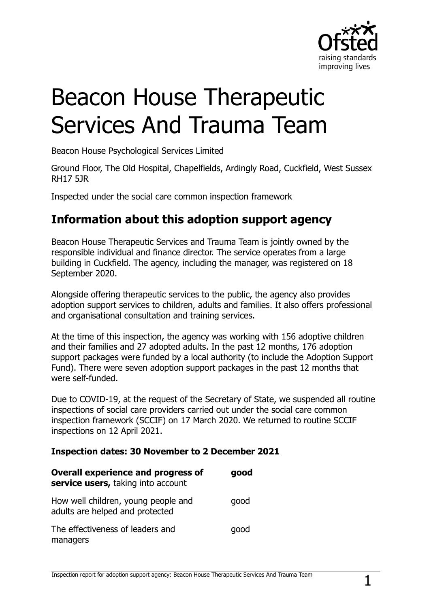

# Beacon House Therapeutic Services And Trauma Team

Beacon House Psychological Services Limited

Ground Floor, The Old Hospital, Chapelfields, Ardingly Road, Cuckfield, West Sussex RH17 5JR

Inspected under the social care common inspection framework

## **Information about this adoption support agency**

Beacon House Therapeutic Services and Trauma Team is jointly owned by the responsible individual and finance director. The service operates from a large building in Cuckfield. The agency, including the manager, was registered on 18 September 2020.

Alongside offering therapeutic services to the public, the agency also provides adoption support services to children, adults and families. It also offers professional and organisational consultation and training services.

At the time of this inspection, the agency was working with 156 adoptive children and their families and 27 adopted adults. In the past 12 months, 176 adoption support packages were funded by a local authority (to include the Adoption Support Fund). There were seven adoption support packages in the past 12 months that were self-funded.

Due to COVID-19, at the request of the Secretary of State, we suspended all routine inspections of social care providers carried out under the social care common inspection framework (SCCIF) on 17 March 2020. We returned to routine SCCIF inspections on 12 April 2021.

#### **Inspection dates: 30 November to 2 December 2021**

| <b>Overall experience and progress of</b><br>service users, taking into account | good |
|---------------------------------------------------------------------------------|------|
| How well children, young people and<br>adults are helped and protected          | good |
| The effectiveness of leaders and<br>managers                                    | good |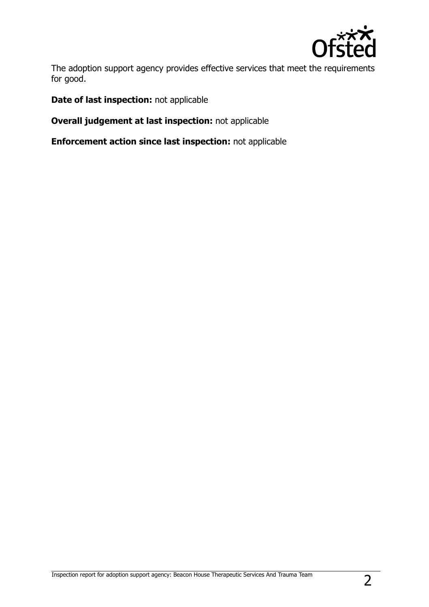

The adoption support agency provides effective services that meet the requirements for good.

**Date of last inspection:** not applicable

**Overall judgement at last inspection:** not applicable

**Enforcement action since last inspection:** not applicable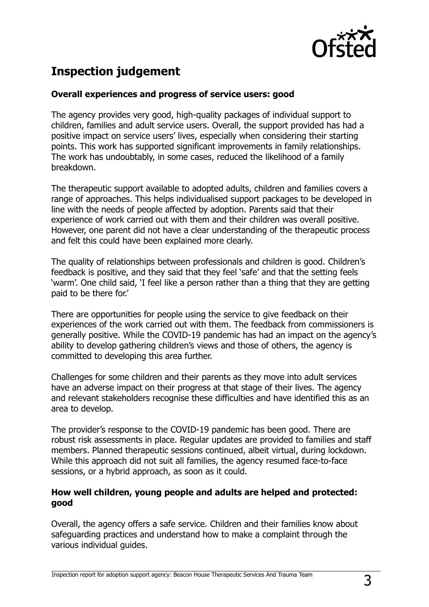

# **Inspection judgement**

#### **Overall experiences and progress of service users: good**

The agency provides very good, high-quality packages of individual support to children, families and adult service users. Overall, the support provided has had a positive impact on service users' lives, especially when considering their starting points. This work has supported significant improvements in family relationships. The work has undoubtably, in some cases, reduced the likelihood of a family breakdown.

The therapeutic support available to adopted adults, children and families covers a range of approaches. This helps individualised support packages to be developed in line with the needs of people affected by adoption. Parents said that their experience of work carried out with them and their children was overall positive. However, one parent did not have a clear understanding of the therapeutic process and felt this could have been explained more clearly.

The quality of relationships between professionals and children is good. Children's feedback is positive, and they said that they feel 'safe' and that the setting feels 'warm'. One child said, 'I feel like a person rather than a thing that they are getting paid to be there for.'

There are opportunities for people using the service to give feedback on their experiences of the work carried out with them. The feedback from commissioners is generally positive. While the COVID-19 pandemic has had an impact on the agency's ability to develop gathering children's views and those of others, the agency is committed to developing this area further.

Challenges for some children and their parents as they move into adult services have an adverse impact on their progress at that stage of their lives. The agency and relevant stakeholders recognise these difficulties and have identified this as an area to develop.

The provider's response to the COVID-19 pandemic has been good. There are robust risk assessments in place. Regular updates are provided to families and staff members. Planned therapeutic sessions continued, albeit virtual, during lockdown. While this approach did not suit all families, the agency resumed face-to-face sessions, or a hybrid approach, as soon as it could.

#### **How well children, young people and adults are helped and protected: good**

Overall, the agency offers a safe service. Children and their families know about safeguarding practices and understand how to make a complaint through the various individual guides.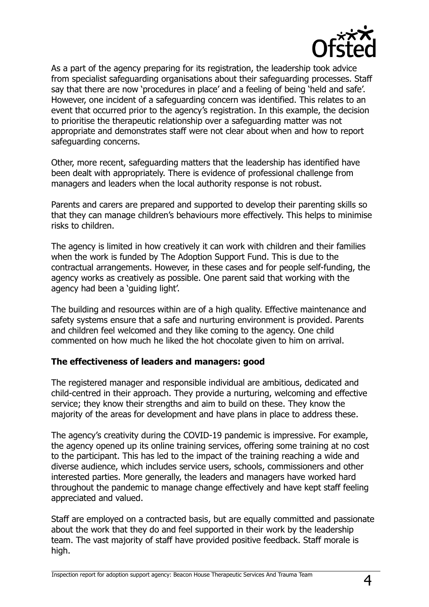

As a part of the agency preparing for its registration, the leadership took advice from specialist safeguarding organisations about their safeguarding processes. Staff say that there are now 'procedures in place' and a feeling of being 'held and safe'. However, one incident of a safeguarding concern was identified. This relates to an event that occurred prior to the agency's registration. In this example, the decision to prioritise the therapeutic relationship over a safeguarding matter was not appropriate and demonstrates staff were not clear about when and how to report safeguarding concerns.

Other, more recent, safeguarding matters that the leadership has identified have been dealt with appropriately. There is evidence of professional challenge from managers and leaders when the local authority response is not robust.

Parents and carers are prepared and supported to develop their parenting skills so that they can manage children's behaviours more effectively. This helps to minimise risks to children.

The agency is limited in how creatively it can work with children and their families when the work is funded by The Adoption Support Fund. This is due to the contractual arrangements. However, in these cases and for people self-funding, the agency works as creatively as possible. One parent said that working with the agency had been a 'guiding light'.

The building and resources within are of a high quality. Effective maintenance and safety systems ensure that a safe and nurturing environment is provided. Parents and children feel welcomed and they like coming to the agency. One child commented on how much he liked the hot chocolate given to him on arrival.

#### **The effectiveness of leaders and managers: good**

The registered manager and responsible individual are ambitious, dedicated and child-centred in their approach. They provide a nurturing, welcoming and effective service; they know their strengths and aim to build on these. They know the majority of the areas for development and have plans in place to address these.

The agency's creativity during the COVID-19 pandemic is impressive. For example, the agency opened up its online training services, offering some training at no cost to the participant. This has led to the impact of the training reaching a wide and diverse audience, which includes service users, schools, commissioners and other interested parties. More generally, the leaders and managers have worked hard throughout the pandemic to manage change effectively and have kept staff feeling appreciated and valued.

Staff are employed on a contracted basis, but are equally committed and passionate about the work that they do and feel supported in their work by the leadership team. The vast majority of staff have provided positive feedback. Staff morale is high.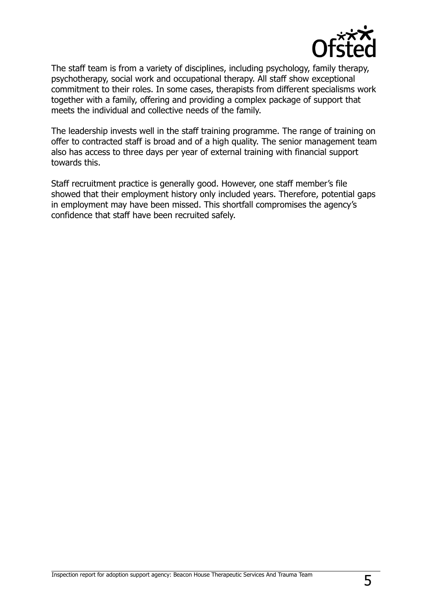

The staff team is from a variety of disciplines, including psychology, family therapy, psychotherapy, social work and occupational therapy. All staff show exceptional commitment to their roles. In some cases, therapists from different specialisms work together with a family, offering and providing a complex package of support that meets the individual and collective needs of the family.

The leadership invests well in the staff training programme. The range of training on offer to contracted staff is broad and of a high quality. The senior management team also has access to three days per year of external training with financial support towards this.

Staff recruitment practice is generally good. However, one staff member's file showed that their employment history only included years. Therefore, potential gaps in employment may have been missed. This shortfall compromises the agency's confidence that staff have been recruited safely.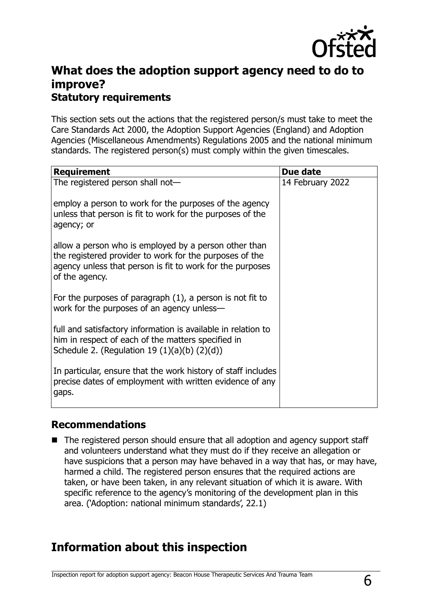

## **What does the adoption support agency need to do to improve? Statutory requirements**

This section sets out the actions that the registered person/s must take to meet the Care Standards Act 2000, the Adoption Support Agencies (England) and Adoption Agencies (Miscellaneous Amendments) Regulations 2005 and the national minimum standards. The registered person(s) must comply within the given timescales.

| <b>Requirement</b>                                                                                                                                                                              | Due date         |
|-------------------------------------------------------------------------------------------------------------------------------------------------------------------------------------------------|------------------|
| The registered person shall not-                                                                                                                                                                | 14 February 2022 |
| employ a person to work for the purposes of the agency<br>unless that person is fit to work for the purposes of the<br>agency; or                                                               |                  |
| allow a person who is employed by a person other than<br>the registered provider to work for the purposes of the<br>agency unless that person is fit to work for the purposes<br>of the agency. |                  |
| For the purposes of paragraph $(1)$ , a person is not fit to<br>work for the purposes of an agency unless-                                                                                      |                  |
| full and satisfactory information is available in relation to<br>him in respect of each of the matters specified in<br>Schedule 2. (Regulation 19 $(1)(a)(b)$ $(2)(d)$ )                        |                  |
| In particular, ensure that the work history of staff includes<br>precise dates of employment with written evidence of any<br>gaps.                                                              |                  |

### **Recommendations**

■ The registered person should ensure that all adoption and agency support staff and volunteers understand what they must do if they receive an allegation or have suspicions that a person may have behaved in a way that has, or may have, harmed a child. The registered person ensures that the required actions are taken, or have been taken, in any relevant situation of which it is aware. With specific reference to the agency's monitoring of the development plan in this area. ('Adoption: national minimum standards', 22.1)

## **Information about this inspection**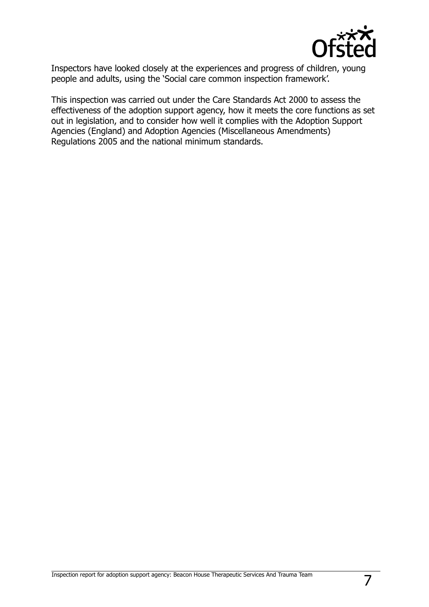

Inspectors have looked closely at the experiences and progress of children, young people and adults, using the 'Social care common inspection framework'.

This inspection was carried out under the Care Standards Act 2000 to assess the effectiveness of the adoption support agency, how it meets the core functions as set out in legislation, and to consider how well it complies with the Adoption Support Agencies (England) and Adoption Agencies (Miscellaneous Amendments) Regulations 2005 and the national minimum standards.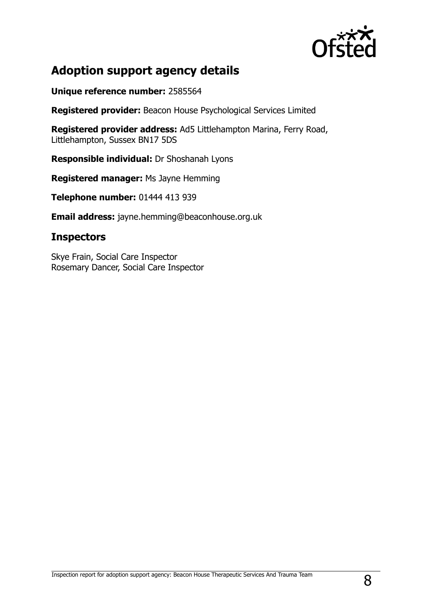

# **Adoption support agency details**

**Unique reference number:** 2585564

**Registered provider:** Beacon House Psychological Services Limited

**Registered provider address:** Ad5 Littlehampton Marina, Ferry Road, Littlehampton, Sussex BN17 5DS

**Responsible individual:** Dr Shoshanah Lyons

**Registered manager:** Ms Jayne Hemming

**Telephone number:** 01444 413 939

**Email address:** jayne.hemming@beaconhouse.org.uk

## **Inspectors**

Skye Frain, Social Care Inspector Rosemary Dancer, Social Care Inspector